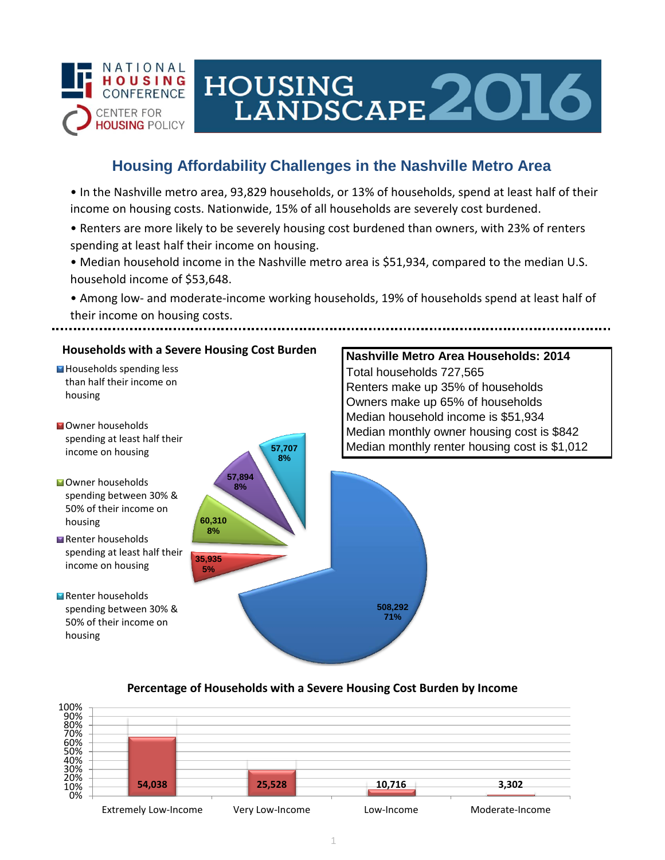

# HOUSING<br>LANDSCAPE 2016

## **Housing Affordability Challenges in the Nashville Metro Area**

• In the Nashville metro area, 93,829 households, or 13% of households, spend at least half of their income on housing costs. Nationwide, 15% of all households are severely cost burdened.

- Renters are more likely to be severely housing cost burdened than owners, with 23% of renters spending at least half their income on housing.
- Median household income in the Nashville metro area is \$51,934, compared to the median U.S. household income of \$53,648.
- Among low- and moderate-income working households, 19% of households spend at least half of their income on housing costs.

## **Households with a Severe Housing Cost Burden**

- Households spending less than half their income on housing
- **N**Owner households spending at least half their income on housing
- **Owner households** spending between 30% & 50% of their income on housing
- Renter households spending at least half their income on housing
- Renter households spending between 30% & 50% of their income on housing



## **Nashville Metro Area Households: 2014** Total households 727,565 Renters make up 35% of households Owners make up 65% of households Median household income is \$51,934 Median monthly owner housing cost is \$842 Median monthly renter housing cost is \$1,012

#### **Percentage of Households with a Severe Housing Cost Burden by Income**